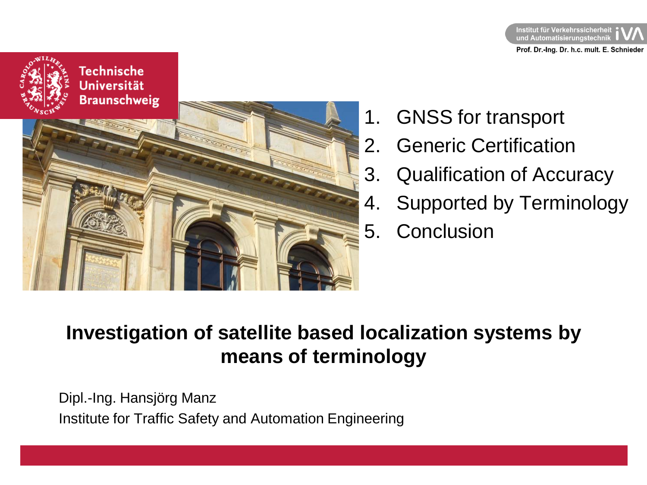



- 1. GNSS for transport
- 2. Generic Certification
- 3. Qualification of Accuracy
- 4. Supported by Terminology
- 5. Conclusion

# **Investigation of satellite based localization systems by means of terminology**

Dipl.-Ing. Hansjörg Manz Institute for Traffic Safety and Automation Engineering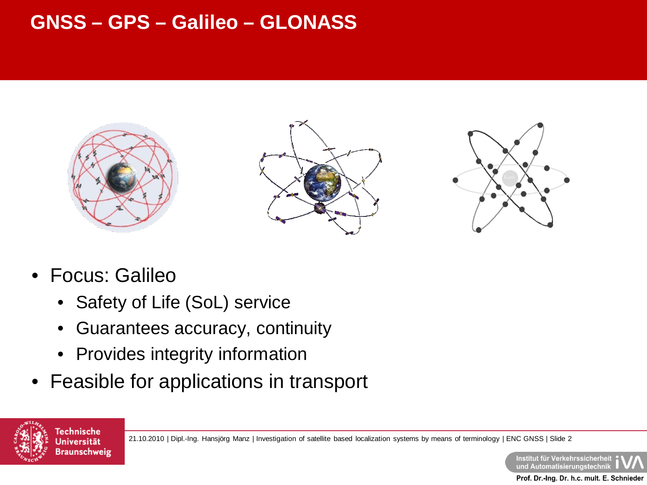# **GNSS – GPS – Galileo – GLONASS**







- Focus: Galileo
	- Safety of Life (SoL) service
	- Guarantees accuracy, continuity
	- Provides integrity information
- Feasible for applications in transport



21.10.2010 | Dipl.-Ing. Hansjörg Manz | Investigation of satellite based localization systems by means of terminology | ENC GNSS | Slide 2

Institut für Verkehrssicherheit und Automatisierungstechnik Prof. Dr.-Ing. Dr. h.c. mult. E. Schnieder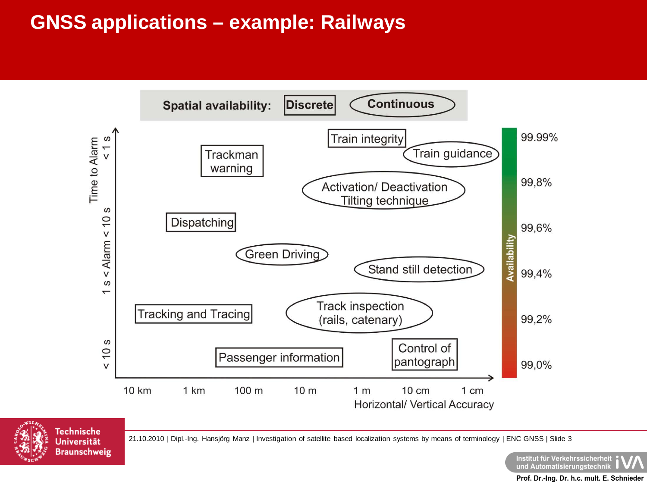



21.10.2010 | Dipl.-Ing. Hansjörg Manz | Investigation of satellite based localization systems by means of terminology | ENC GNSS | Slide 3

Institut für Verkehrssicherheit und Automatisierungstechnil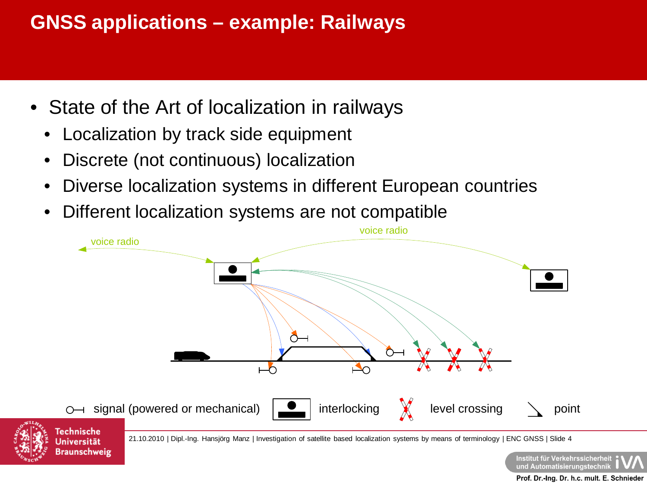- State of the Art of localization in railways
	- Localization by track side equipment
	- Discrete (not continuous) localization
	- Diverse localization systems in different European countries
	- Different localization systems are not compatible





21.10.2010 | Dipl.-Ing. Hansjörg Manz | Investigation of satellite based localization systems by means of terminology | ENC GNSS | Slide 4

Institut für Verkehrssicherheit und Automatisierungstechnik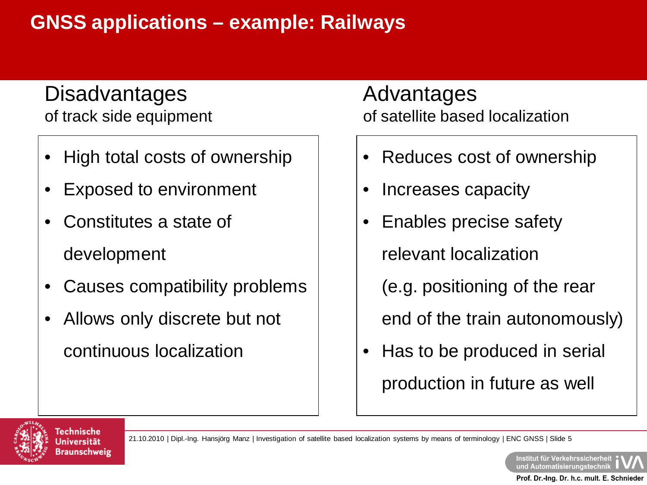## **Disadvantages** of track side equipment

- High total costs of ownership
- Exposed to environment
- Constitutes a state of development
- Causes compatibility problems
- Allows only discrete but not continuous localization

Advantages of satellite based localization

- Reduces cost of ownership
- Increases capacity
- Enables precise safety

relevant localization

(e.g. positioning of the rear

end of the train autonomously)

• Has to be produced in serial production in future as well



21.10.2010 | Dipl.-Ing. Hansjörg Manz | Investigation of satellite based localization systems by means of terminology | ENC GNSS | Slide 5

Institut für Verkehrssicherheit und Automatisierungstechnil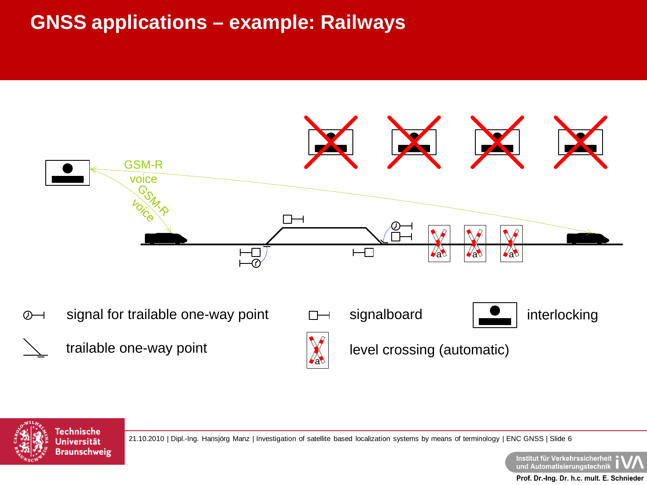



**Technische Universität Braunschweig** 

21.10.2010 | Dipl.-Ing. Hansjörg Manz | Investigation of satellite based localization systems by means of terminology | ENC GNSS | Slide 6

Institut für Verkehrssicherheit : und Automatisierungstechnik Prof. Dr.-Ing. Dr. h.c. mult. E. Schnieder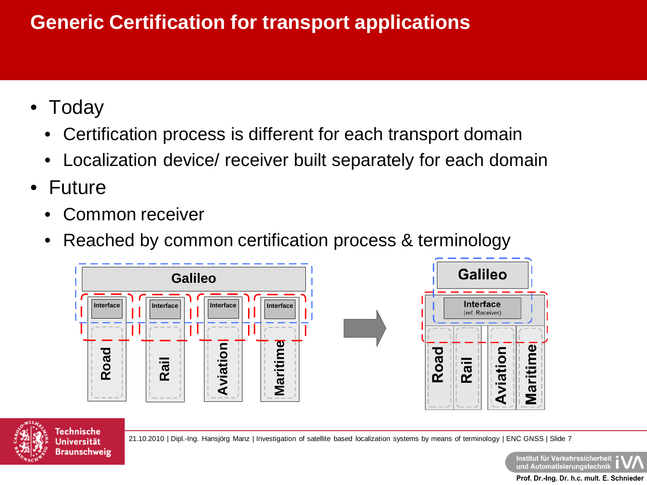# **Generic Certification for transport applications**

- Today
	- Certification process is different for each transport domain
	- Localization device/ receiver built separately for each domain
- Future
	- Common receiver
	- Reached by common certification process & terminology





21.10.2010 | Dipl.-Ing. Hansjörg Manz | Investigation of satellite based localization systems by means of terminology | ENC GNSS | Slide 7

Institut für Verkehrssicherheit ) und Automatisierungstechnil

Maritime

Aviation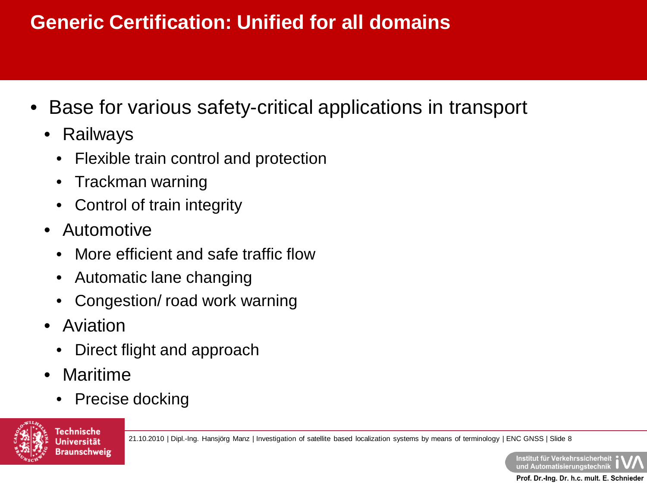# **Generic Certification: Unified for all domains**

- Base for various safety-critical applications in transport
	- Railways
		- Flexible train control and protection
		- Trackman warning
		- Control of train integrity
	- Automotive
		- More efficient and safe traffic flow
		- Automatic lane changing
		- Congestion/ road work warning
	- Aviation
		- Direct flight and approach
	- Maritime
		- Precise docking



21.10.2010 | Dipl.-Ing. Hansjörg Manz | Investigation of satellite based localization systems by means of terminology | ENC GNSS | Slide 8

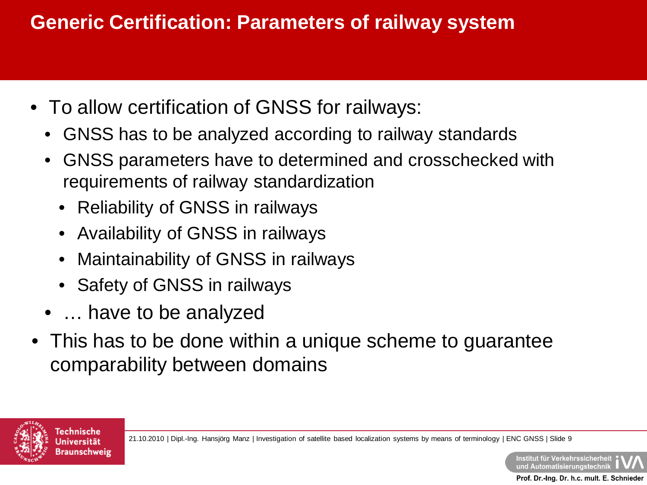# **Generic Certification: Parameters of railway system**

- To allow certification of GNSS for railways:
	- GNSS has to be analyzed according to railway standards
	- GNSS parameters have to determined and crosschecked with requirements of railway standardization
		- Reliability of GNSS in railways
		- Availability of GNSS in railways
		- Maintainability of GNSS in railways
		- Safety of GNSS in railways
	- ... have to be analyzed
- This has to be done within a unique scheme to guarantee comparability between domains



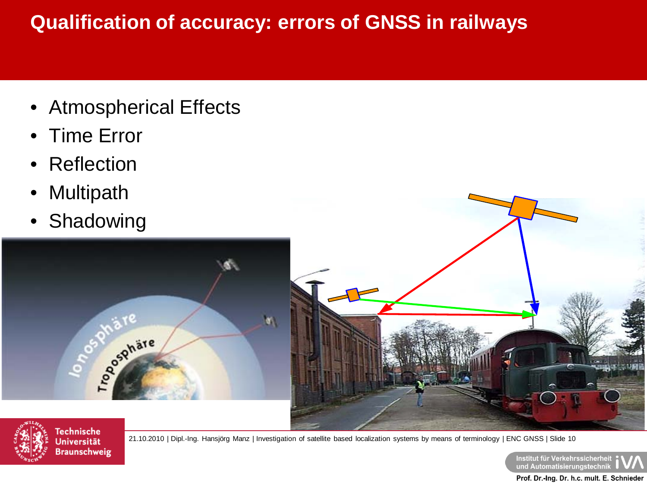# **Qualification of accuracy: errors of GNSS in railways**

- Atmospherical Effects
- Time Error
- **Reflection**
- Multipath
- Shadowing







**Technische Universität Braunschweig** 

21.10.2010 | Dipl.-Ing. Hansjörg Manz | Investigation of satellite based localization systems by means of terminology | ENC GNSS | Slide 10

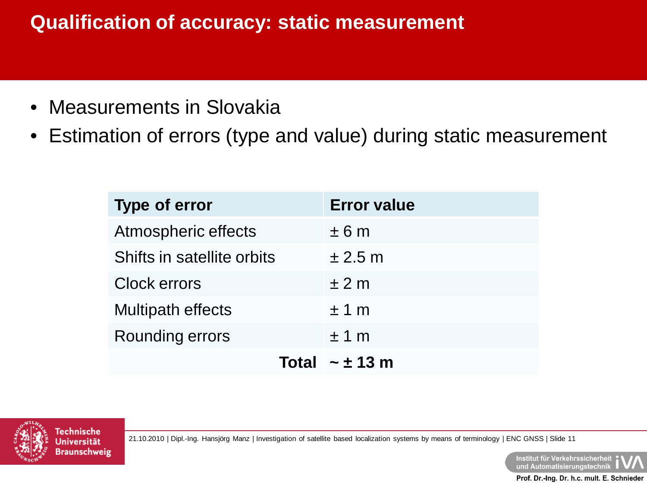# **Qualification of accuracy: static measurement**

- Measurements in Slovakia
- Estimation of errors (type and value) during static measurement

| <b>Type of error</b>       | <b>Error value</b>    |
|----------------------------|-----------------------|
| Atmospheric effects        | ± 6m                  |
| Shifts in satellite orbits | $\pm 2.5$ m           |
| <b>Clock errors</b>        | ±2m                   |
| <b>Multipath effects</b>   | ±1 m                  |
| Rounding errors            | ±1 m                  |
|                            | Total $\sim \pm 13$ m |



21.10.2010 | Dipl.-Ing. Hansjörg Manz | Investigation of satellite based localization systems by means of terminology | ENC GNSS | Slide 11

Institut für Verkehrssicherheit und Automatisierungstechnik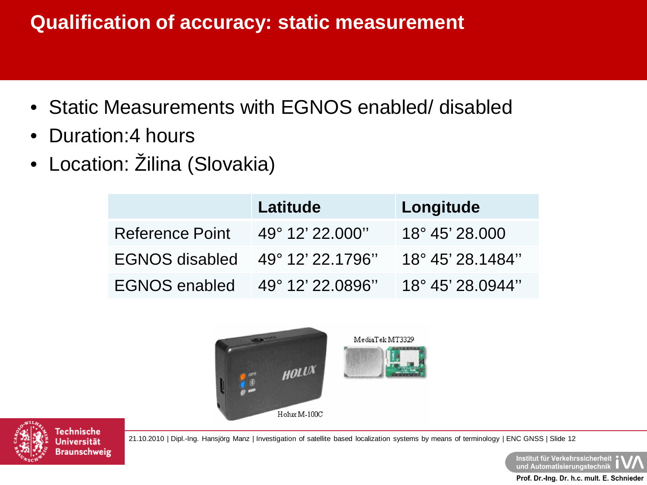# **Qualification of accuracy: static measurement**

- Static Measurements with EGNOS enabled/ disabled
- Duration: 4 hours
- Location: Žilina (Slovakia)

|                                 | Latitude                 | Longitude                 |
|---------------------------------|--------------------------|---------------------------|
| Reference Point                 | $49^{\circ}$ 12' 22.000" | $18^{\circ} 45' 28.000$   |
| EGNOS disabled 49° 12' 22.1796" |                          | $18^{\circ}$ 45' 28.1484" |
| EGNOS enabled 49° 12' 22.0896"  |                          | $18^{\circ}$ 45' 28.0944" |





21.10.2010 | Dipl.-Ing. Hansjörg Manz | Investigation of satellite based localization systems by means of terminology | ENC GNSS | Slide 12

Institut für Verkehrssicherheit | und Automatisierungstechnik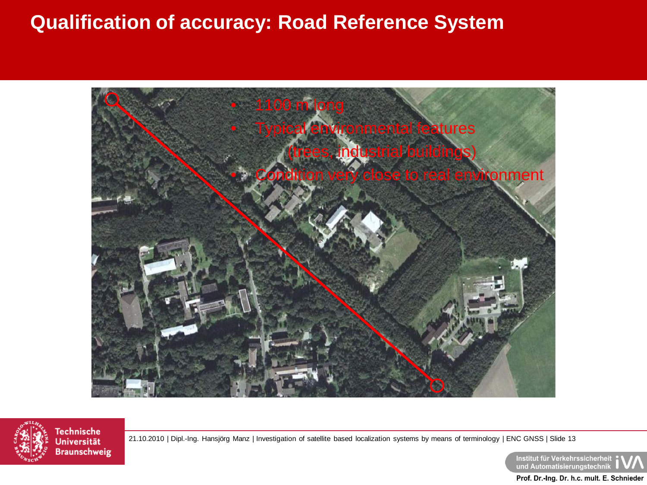#### **Qualification of accuracy: Road Reference System**





**Universität Braunschweig** 

21.10.2010 | Dipl.-Ing. Hansjörg Manz | Investigation of satellite based localization systems by means of terminology | ENC GNSS | Slide 13

Institut für Verkehrssicherheit | und Automatisierungstechnik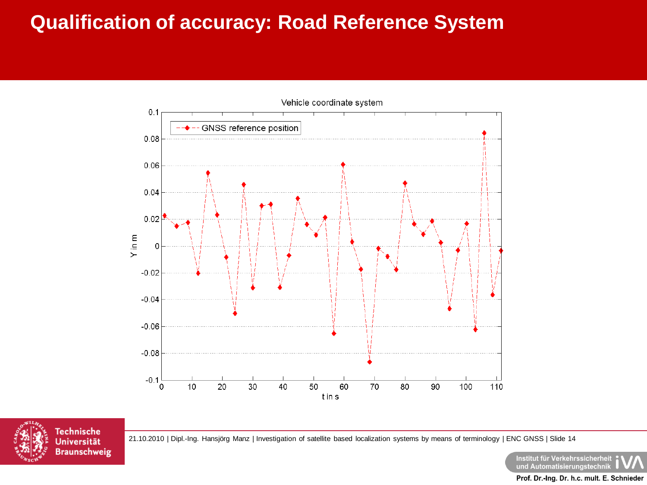#### **Qualification of accuracy: Road Reference System**





21.10.2010 | Dipl.-Ing. Hansjörg Manz | Investigation of satellite based localization systems by means of terminology | ENC GNSS | Slide 14

Institut für Verkehrssicherheit und Automatisierungstechnil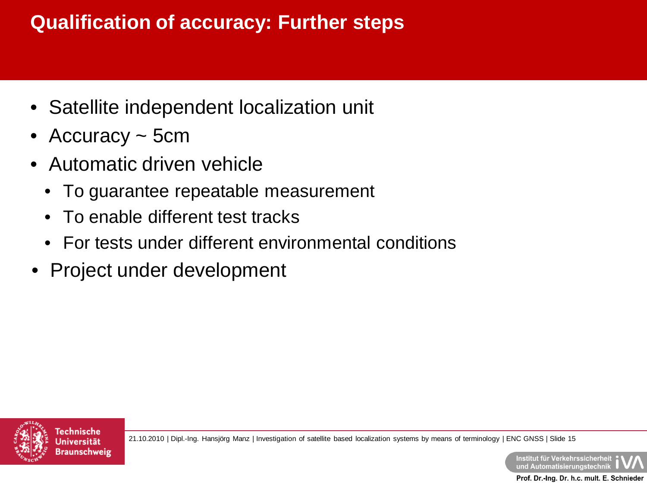# **Qualification of accuracy: Further steps**

- Satellite independent localization unit
- Accuracy ~ 5cm
- Automatic driven vehicle
	- To guarantee repeatable measurement
	- To enable different test tracks
	- For tests under different environmental conditions
- Project under development



21.10.2010 | Dipl.-Ing. Hansjörg Manz | Investigation of satellite based localization systems by means of terminology | ENC GNSS | Slide 15

Institut für Verkehrssicherheit und Automatisierungstechnik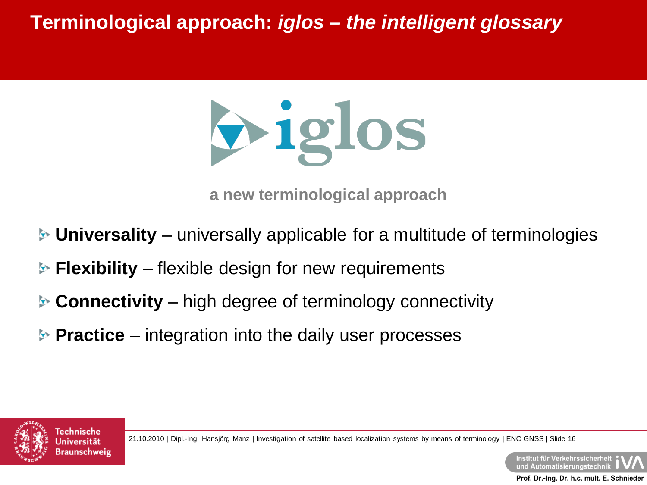

**a new terminological approach**

- **Universality** universally applicable for a multitude of terminologies
- **Flexibility** flexible design for new requirements
- **Connectivity** high degree of terminology connectivity
- **▶ Practice** integration into the daily user processes



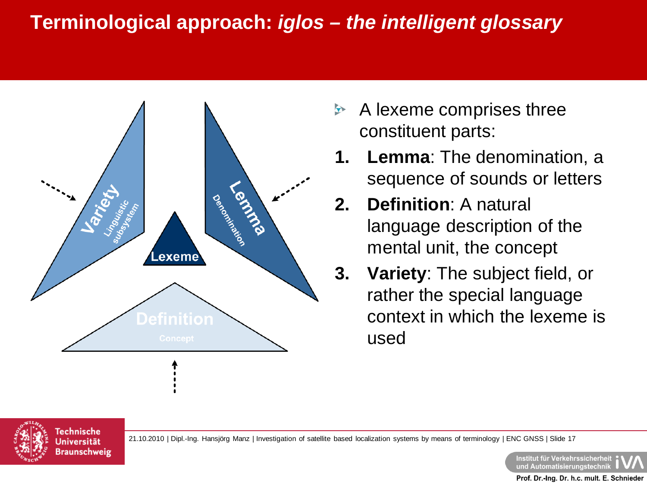

- $\blacktriangleright$ A lexeme comprises three constituent parts:
- **1. Lemma**: The denomination, a sequence of sounds or letters
- **2. Definition**: A natural language description of the mental unit, the concept
- **3. Variety**: The subject field, or rather the special language context in which the lexeme is used



21.10.2010 | Dipl.-Ing. Hansjörg Manz | Investigation of satellite based localization systems by means of terminology | ENC GNSS | Slide 17

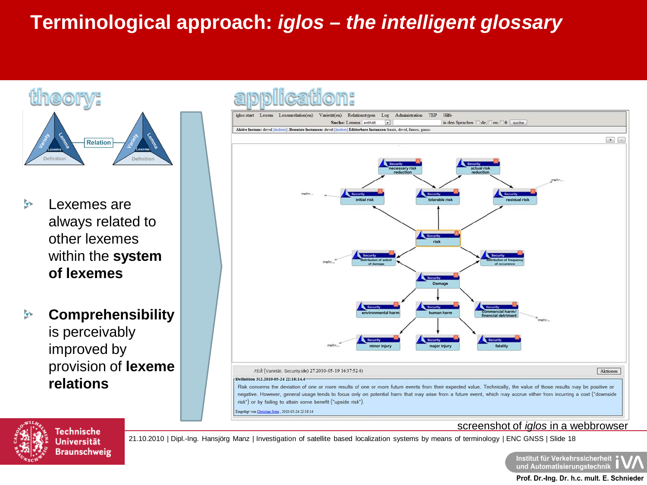#### theory:



- Lexemes are  $\rightarrow$ always related to other lexemes within the **system of lexemes**
- **Comprehensibility**  $\mathbf{r}$ is perceivably improved by provision of **lexeme relations**



#### screenshot of *iglos* in a webbrowser



Technische Universität **Braunschweig** 

21.10.2010 | Dipl.-Ing. Hansjörg Manz | Investigation of satellite based localization systems by means of terminology | ENC GNSS | Slide 18

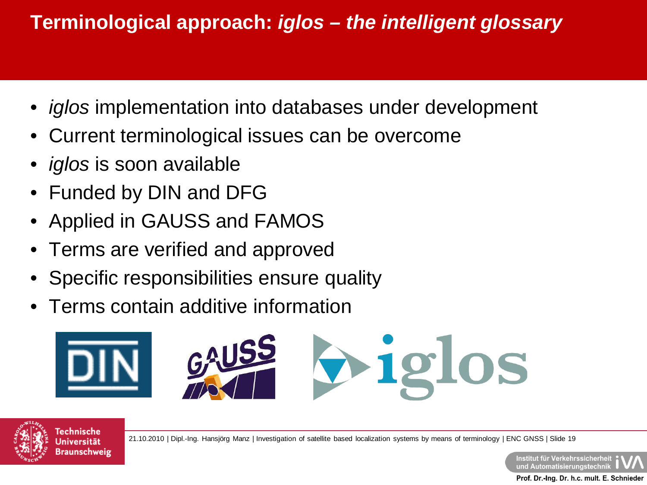- *iglos* implementation into databases under development
- Current terminological issues can be overcome
- *iglos* is soon available
- Funded by DIN and DFG
- Applied in GAUSS and FAMOS
- Terms are verified and approved
- Specific responsibilities ensure quality
- Terms contain additive information





Technische Jniversität Braunschweig

21.10.2010 | Dipl.-Ing. Hansjörg Manz | Investigation of satellite based localization systems by means of terminology | ENC GNSS | Slide 19

Institut für Verkehrssicherheit und Automatisierungstechnik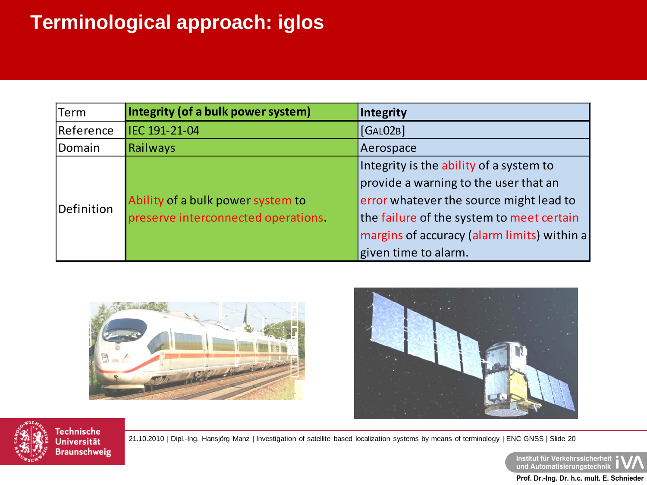# **Terminological approach: iglos**

| Term       | Integrity (of a bulk power system)  | Integrity                                   |
|------------|-------------------------------------|---------------------------------------------|
| Reference  | IEC 191-21-04                       | [GALO2B]                                    |
| Domain     | <b>Railways</b>                     | Aerospace                                   |
| Definition |                                     | Integrity is the ability of a system to     |
|            |                                     | provide a warning to the user that an       |
|            | Ability of a bulk power system to   | error whatever the source might lead to     |
|            | preserve interconnected operations. | the failure of the system to meet certain   |
|            |                                     | margins of accuracy (alarm limits) within a |
|            |                                     | given time to alarm.                        |







**Technische Universität Braunschweig** 

21.10.2010 | Dipl.-Ing. Hansjörg Manz | Investigation of satellite based localization systems by means of terminology | ENC GNSS | Slide 20

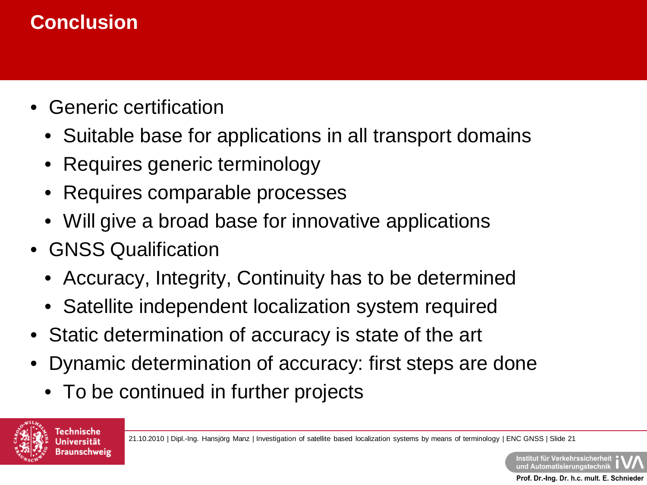# **Conclusion**

- Generic certification
	- Suitable base for applications in all transport domains
	- Requires generic terminology
	- Requires comparable processes
	- Will give a broad base for innovative applications
- GNSS Qualification
	- Accuracy, Integrity, Continuity has to be determined
	- Satellite independent localization system required
- Static determination of accuracy is state of the art
- Dynamic determination of accuracy: first steps are done
	- To be continued in further projects

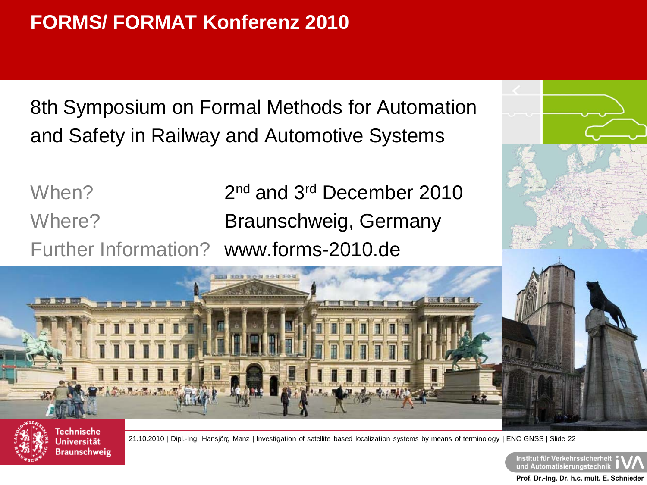8th Symposium on Formal Methods for Automation and Safety in Railway and Automotive Systems

When? 2nd and 3<sup>rd</sup> December 2010 Where? **Braunschweig, Germany** Further Information? www.forms-2010.de





Technische Universität Braunschweig

21.10.2010 | Dipl.-Ing. Hansjörg Manz | Investigation of satellite based localization systems by means of terminology | ENC GNSS | Slide 22

Institut für Verkehrssicherheit und Automatisierungstechnik